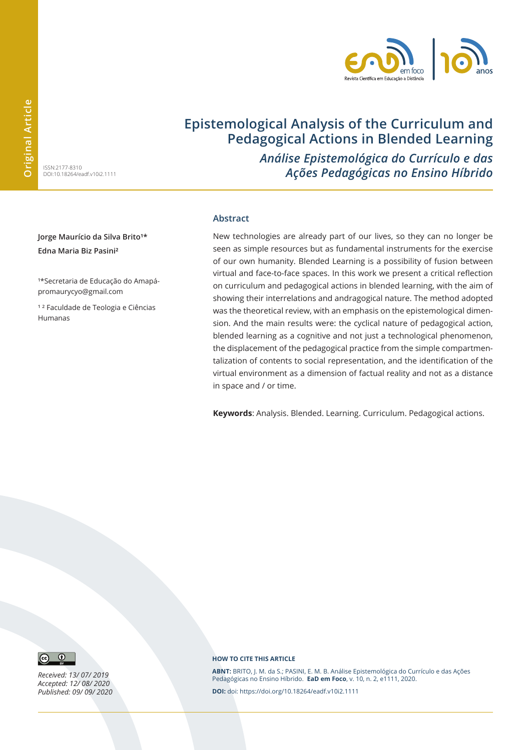

# **Epistemological Analysis of the Curriculum and Pedagogical Actions in Blended Learning**

ISSN:2177-8310 DOI:10.18264/eadf.v10i2.1111 *Análise Epistemológica do Currículo e das Ações Pedagógicas no Ensino Híbrido*

Jorge Maurício da Silva Brito<sup>1\*</sup> **Edna Maria Biz Pasini²**

1\*Secretaria de Educação do Amapápromaurycyo@gmail.com

1<sup>2</sup> Faculdade de Teologia e Ciências Humanas

#### **Abstract**

New technologies are already part of our lives, so they can no longer be seen as simple resources but as fundamental instruments for the exercise of our own humanity. Blended Learning is a possibility of fusion between virtual and face-to-face spaces. In this work we present a critical reflection on curriculum and pedagogical actions in blended learning, with the aim of showing their interrelations and andragogical nature. The method adopted was the theoretical review, with an emphasis on the epistemological dimension. And the main results were: the cyclical nature of pedagogical action, blended learning as a cognitive and not just a technological phenomenon, the displacement of the pedagogical practice from the simple compartmentalization of contents to social representation, and the identification of the virtual environment as a dimension of factual reality and not as a distance in space and / or time.

**Keywords**: Analysis. Blended. Learning. Curriculum. Pedagogical actions.



*Received: 13/ 07/ 2019 Accepted: 12/ 08/ 2020 Published: 09/ 09/ 2020*

#### **HOW TO CITE THIS ARTICLE**

**ABNT:** BRITO, J. M. da S.; PASINI, E. M. B. Análise Epistemológica do Currículo e das Ações Pedagógicas no Ensino Híbrido. **EaD em Foco**, v. 10, n. 2, e1111, 2020.

**DOI:** doi: https://doi.org/10.18264/eadf.v10i2.1111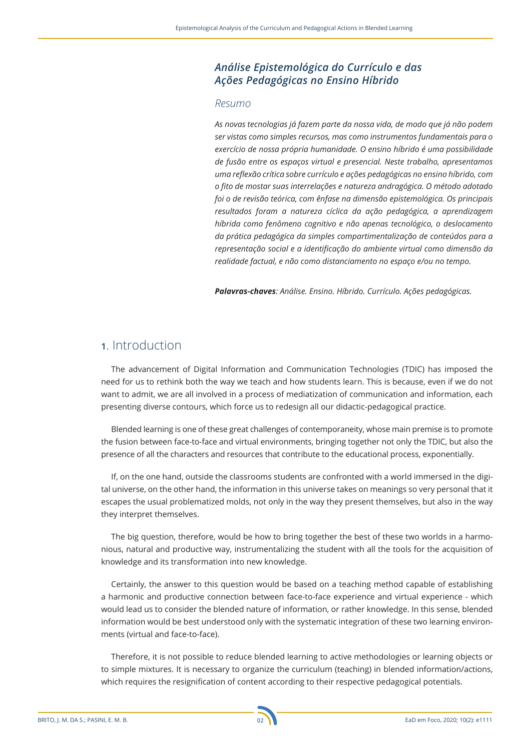### *Análise Epistemológica do Currículo e das Ações Pedagógicas no Ensino Híbrido*

#### *Resumo*

*As novas tecnologias já fazem parte da nossa vida, de modo que já não podem ser vistas como simples recursos, mas como instrumentos fundamentais para o exercício de nossa própria humanidade. O ensino híbrido é uma possibilidade de fusão entre os espaços virtual e presencial. Neste trabalho, apresentamos uma reflexão crítica sobre currículo e ações pedagógicas no ensino híbrido, com o fito de mostar suas interrelações e natureza andragógica. O método adotado foi o de revisão teórica, com ênfase na dimensão epistemológica. Os principais resultados foram a natureza cíclica da ação pedagógica, a aprendizagem híbrida como fenômeno cognitivo e não apenas tecnológico, o deslocamento da prática pedagógica da simples compartimentalização de conteúdos para a representação social e a identificação do ambiente virtual como dimensão da realidade factual, e não como distanciamento no espaço e/ou no tempo.*

*Palavras-chaves: Análise. Ensino. Híbrido. Currículo. Ações pedagógicas.*

### **1**. Introduction

The advancement of Digital Information and Communication Technologies (TDIC) has imposed the need for us to rethink both the way we teach and how students learn. This is because, even if we do not want to admit, we are all involved in a process of mediatization of communication and information, each presenting diverse contours, which force us to redesign all our didactic-pedagogical practice.

Blended learning is one of these great challenges of contemporaneity, whose main premise is to promote the fusion between face-to-face and virtual environments, bringing together not only the TDIC, but also the presence of all the characters and resources that contribute to the educational process, exponentially.

If, on the one hand, outside the classrooms students are confronted with a world immersed in the digital universe, on the other hand, the information in this universe takes on meanings so very personal that it escapes the usual problematized molds, not only in the way they present themselves, but also in the way they interpret themselves.

The big question, therefore, would be how to bring together the best of these two worlds in a harmonious, natural and productive way, instrumentalizing the student with all the tools for the acquisition of knowledge and its transformation into new knowledge.

Certainly, the answer to this question would be based on a teaching method capable of establishing a harmonic and productive connection between face-to-face experience and virtual experience - which would lead us to consider the blended nature of information, or rather knowledge. In this sense, blended information would be best understood only with the systematic integration of these two learning environments (virtual and face-to-face).

Therefore, it is not possible to reduce blended learning to active methodologies or learning objects or to simple mixtures. It is necessary to organize the curriculum (teaching) in blended information/actions, which requires the resignification of content according to their respective pedagogical potentials.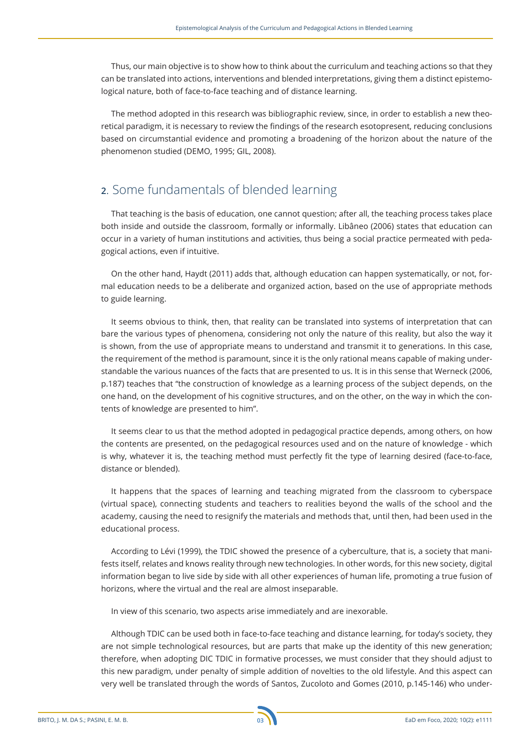Thus, our main objective is to show how to think about the curriculum and teaching actions so that they can be translated into actions, interventions and blended interpretations, giving them a distinct epistemological nature, both of face-to-face teaching and of distance learning.

The method adopted in this research was bibliographic review, since, in order to establish a new theoretical paradigm, it is necessary to review the findings of the research esotopresent, reducing conclusions based on circumstantial evidence and promoting a broadening of the horizon about the nature of the phenomenon studied (DEMO, 1995; GIL, 2008).

## **2**. Some fundamentals of blended learning

That teaching is the basis of education, one cannot question; after all, the teaching process takes place both inside and outside the classroom, formally or informally. Libâneo (2006) states that education can occur in a variety of human institutions and activities, thus being a social practice permeated with pedagogical actions, even if intuitive.

On the other hand, Haydt (2011) adds that, although education can happen systematically, or not, formal education needs to be a deliberate and organized action, based on the use of appropriate methods to guide learning.

It seems obvious to think, then, that reality can be translated into systems of interpretation that can bare the various types of phenomena, considering not only the nature of this reality, but also the way it is shown, from the use of appropriate means to understand and transmit it to generations. In this case, the requirement of the method is paramount, since it is the only rational means capable of making understandable the various nuances of the facts that are presented to us. It is in this sense that Werneck (2006, p.187) teaches that "the construction of knowledge as a learning process of the subject depends, on the one hand, on the development of his cognitive structures, and on the other, on the way in which the contents of knowledge are presented to him".

It seems clear to us that the method adopted in pedagogical practice depends, among others, on how the contents are presented, on the pedagogical resources used and on the nature of knowledge - which is why, whatever it is, the teaching method must perfectly fit the type of learning desired (face-to-face, distance or blended).

It happens that the spaces of learning and teaching migrated from the classroom to cyberspace (virtual space), connecting students and teachers to realities beyond the walls of the school and the academy, causing the need to resignify the materials and methods that, until then, had been used in the educational process.

According to Lévi (1999), the TDIC showed the presence of a cyberculture, that is, a society that manifests itself, relates and knows reality through new technologies. In other words, for this new society, digital information began to live side by side with all other experiences of human life, promoting a true fusion of horizons, where the virtual and the real are almost inseparable.

In view of this scenario, two aspects arise immediately and are inexorable.

Although TDIC can be used both in face-to-face teaching and distance learning, for today's society, they are not simple technological resources, but are parts that make up the identity of this new generation; therefore, when adopting DIC TDIC in formative processes, we must consider that they should adjust to this new paradigm, under penalty of simple addition of novelties to the old lifestyle. And this aspect can very well be translated through the words of Santos, Zucoloto and Gomes (2010, p.145-146) who under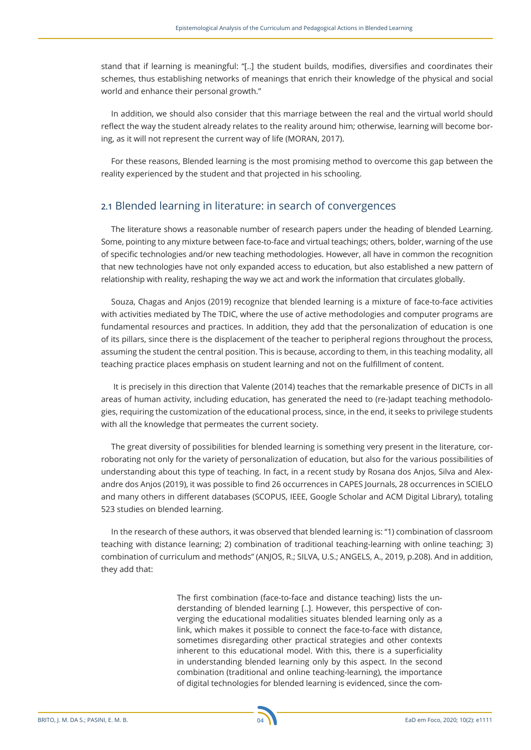stand that if learning is meaningful: "[..] the student builds, modifies, diversifies and coordinates their schemes, thus establishing networks of meanings that enrich their knowledge of the physical and social world and enhance their personal growth."

In addition, we should also consider that this marriage between the real and the virtual world should reflect the way the student already relates to the reality around him; otherwise, learning will become boring, as it will not represent the current way of life (MORAN, 2017).

For these reasons, Blended learning is the most promising method to overcome this gap between the reality experienced by the student and that projected in his schooling.

### **2.1** Blended learning in literature: in search of convergences

The literature shows a reasonable number of research papers under the heading of blended Learning. Some, pointing to any mixture between face-to-face and virtual teachings; others, bolder, warning of the use of specific technologies and/or new teaching methodologies. However, all have in common the recognition that new technologies have not only expanded access to education, but also established a new pattern of relationship with reality, reshaping the way we act and work the information that circulates globally.

Souza, Chagas and Anjos (2019) recognize that blended learning is a mixture of face-to-face activities with activities mediated by The TDIC, where the use of active methodologies and computer programs are fundamental resources and practices. In addition, they add that the personalization of education is one of its pillars, since there is the displacement of the teacher to peripheral regions throughout the process, assuming the student the central position. This is because, according to them, in this teaching modality, all teaching practice places emphasis on student learning and not on the fulfillment of content.

 It is precisely in this direction that Valente (2014) teaches that the remarkable presence of DICTs in all areas of human activity, including education, has generated the need to (re-)adapt teaching methodologies, requiring the customization of the educational process, since, in the end, it seeks to privilege students with all the knowledge that permeates the current society.

The great diversity of possibilities for blended learning is something very present in the literature, corroborating not only for the variety of personalization of education, but also for the various possibilities of understanding about this type of teaching. In fact, in a recent study by Rosana dos Anjos, Silva and Alexandre dos Anjos (2019), it was possible to find 26 occurrences in CAPES Journals, 28 occurrences in SCIELO and many others in different databases (SCOPUS, IEEE, Google Scholar and ACM Digital Library), totaling 523 studies on blended learning.

In the research of these authors, it was observed that blended learning is: "1) combination of classroom teaching with distance learning; 2) combination of traditional teaching-learning with online teaching; 3) combination of curriculum and methods" (ANJOS, R.; SILVA, U.S.; ANGELS, A., 2019, p.208). And in addition, they add that:

> The first combination (face-to-face and distance teaching) lists the understanding of blended learning [..]. However, this perspective of converging the educational modalities situates blended learning only as a link, which makes it possible to connect the face-to-face with distance, sometimes disregarding other practical strategies and other contexts inherent to this educational model. With this, there is a superficiality in understanding blended learning only by this aspect. In the second combination (traditional and online teaching-learning), the importance of digital technologies for blended learning is evidenced, since the com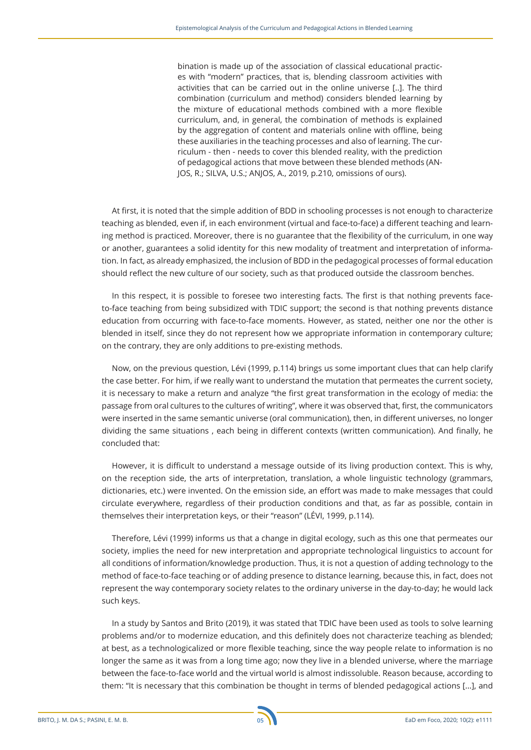bination is made up of the association of classical educational practices with "modern" practices, that is, blending classroom activities with activities that can be carried out in the online universe [..]. The third combination (curriculum and method) considers blended learning by the mixture of educational methods combined with a more flexible curriculum, and, in general, the combination of methods is explained by the aggregation of content and materials online with offline, being these auxiliaries in the teaching processes and also of learning. The curriculum - then - needs to cover this blended reality, with the prediction of pedagogical actions that move between these blended methods (AN-JOS, R.; SILVA, U.S.; ANJOS, A., 2019, p.210, omissions of ours).

At first, it is noted that the simple addition of BDD in schooling processes is not enough to characterize teaching as blended, even if, in each environment (virtual and face-to-face) a different teaching and learning method is practiced. Moreover, there is no guarantee that the flexibility of the curriculum, in one way or another, guarantees a solid identity for this new modality of treatment and interpretation of information. In fact, as already emphasized, the inclusion of BDD in the pedagogical processes of formal education should reflect the new culture of our society, such as that produced outside the classroom benches.

In this respect, it is possible to foresee two interesting facts. The first is that nothing prevents faceto-face teaching from being subsidized with TDIC support; the second is that nothing prevents distance education from occurring with face-to-face moments. However, as stated, neither one nor the other is blended in itself, since they do not represent how we appropriate information in contemporary culture; on the contrary, they are only additions to pre-existing methods.

Now, on the previous question, Lévi (1999, p.114) brings us some important clues that can help clarify the case better. For him, if we really want to understand the mutation that permeates the current society, it is necessary to make a return and analyze "the first great transformation in the ecology of media: the passage from oral cultures to the cultures of writing", where it was observed that, first, the communicators were inserted in the same semantic universe (oral communication), then, in different universes, no longer dividing the same situations , each being in different contexts (written communication). And finally, he concluded that:

However, it is difficult to understand a message outside of its living production context. This is why, on the reception side, the arts of interpretation, translation, a whole linguistic technology (grammars, dictionaries, etc.) were invented. On the emission side, an effort was made to make messages that could circulate everywhere, regardless of their production conditions and that, as far as possible, contain in themselves their interpretation keys, or their "reason" (LÉVI, 1999, p.114).

Therefore, Lévi (1999) informs us that a change in digital ecology, such as this one that permeates our society, implies the need for new interpretation and appropriate technological linguistics to account for all conditions of information/knowledge production. Thus, it is not a question of adding technology to the method of face-to-face teaching or of adding presence to distance learning, because this, in fact, does not represent the way contemporary society relates to the ordinary universe in the day-to-day; he would lack such keys.

In a study by Santos and Brito (2019), it was stated that TDIC have been used as tools to solve learning problems and/or to modernize education, and this definitely does not characterize teaching as blended; at best, as a technologicalized or more flexible teaching, since the way people relate to information is no longer the same as it was from a long time ago; now they live in a blended universe, where the marriage between the face-to-face world and the virtual world is almost indissoluble. Reason because, according to them: "It is necessary that this combination be thought in terms of blended pedagogical actions [...], and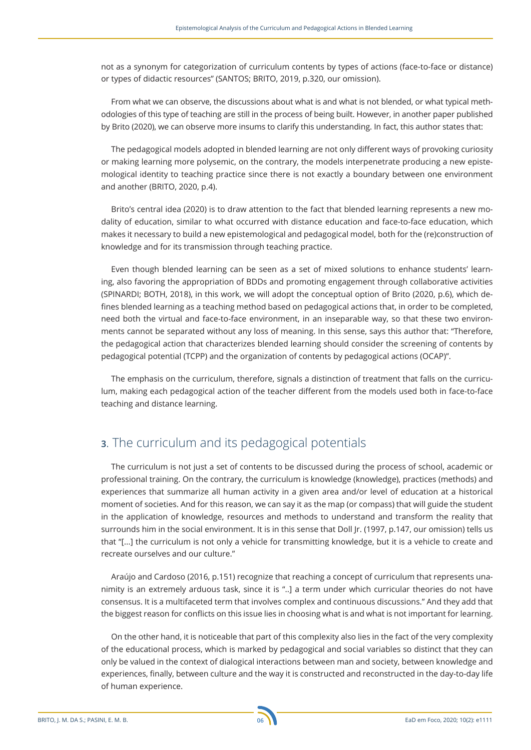not as a synonym for categorization of curriculum contents by types of actions (face-to-face or distance) or types of didactic resources" (SANTOS; BRITO, 2019, p.320, our omission).

From what we can observe, the discussions about what is and what is not blended, or what typical methodologies of this type of teaching are still in the process of being built. However, in another paper published by Brito (2020), we can observe more insums to clarify this understanding. In fact, this author states that:

The pedagogical models adopted in blended learning are not only different ways of provoking curiosity or making learning more polysemic, on the contrary, the models interpenetrate producing a new epistemological identity to teaching practice since there is not exactly a boundary between one environment and another (BRITO, 2020, p.4).

Brito's central idea (2020) is to draw attention to the fact that blended learning represents a new modality of education, similar to what occurred with distance education and face-to-face education, which makes it necessary to build a new epistemological and pedagogical model, both for the (re)construction of knowledge and for its transmission through teaching practice.

Even though blended learning can be seen as a set of mixed solutions to enhance students' learning, also favoring the appropriation of BDDs and promoting engagement through collaborative activities (SPINARDI; BOTH, 2018), in this work, we will adopt the conceptual option of Brito (2020, p.6), which defines blended learning as a teaching method based on pedagogical actions that, in order to be completed, need both the virtual and face-to-face environment, in an inseparable way, so that these two environments cannot be separated without any loss of meaning. In this sense, says this author that: "Therefore, the pedagogical action that characterizes blended learning should consider the screening of contents by pedagogical potential (TCPP) and the organization of contents by pedagogical actions (OCAP)".

The emphasis on the curriculum, therefore, signals a distinction of treatment that falls on the curriculum, making each pedagogical action of the teacher different from the models used both in face-to-face teaching and distance learning.

## **3**. The curriculum and its pedagogical potentials

The curriculum is not just a set of contents to be discussed during the process of school, academic or professional training. On the contrary, the curriculum is knowledge (knowledge), practices (methods) and experiences that summarize all human activity in a given area and/or level of education at a historical moment of societies. And for this reason, we can say it as the map (or compass) that will guide the student in the application of knowledge, resources and methods to understand and transform the reality that surrounds him in the social environment. It is in this sense that Doll Jr. (1997, p.147, our omission) tells us that "[...] the curriculum is not only a vehicle for transmitting knowledge, but it is a vehicle to create and recreate ourselves and our culture."

Araújo and Cardoso (2016, p.151) recognize that reaching a concept of curriculum that represents unanimity is an extremely arduous task, since it is "..] a term under which curricular theories do not have consensus. It is a multifaceted term that involves complex and continuous discussions." And they add that the biggest reason for conflicts on this issue lies in choosing what is and what is not important for learning.

On the other hand, it is noticeable that part of this complexity also lies in the fact of the very complexity of the educational process, which is marked by pedagogical and social variables so distinct that they can only be valued in the context of dialogical interactions between man and society, between knowledge and experiences, finally, between culture and the way it is constructed and reconstructed in the day-to-day life of human experience.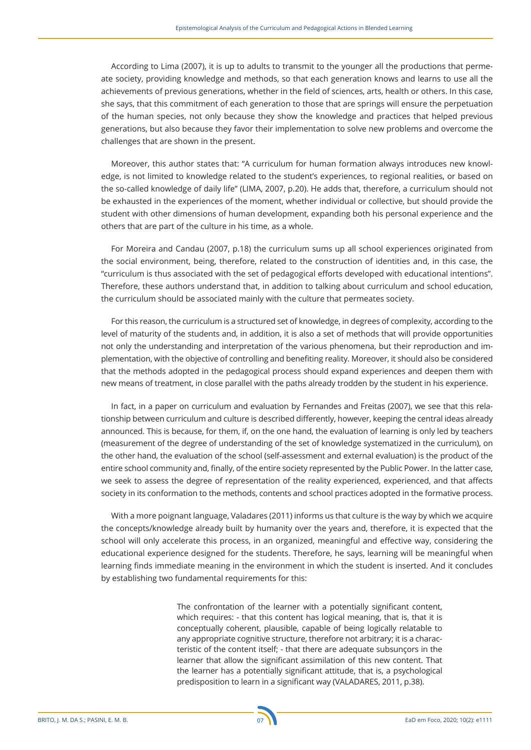According to Lima (2007), it is up to adults to transmit to the younger all the productions that permeate society, providing knowledge and methods, so that each generation knows and learns to use all the achievements of previous generations, whether in the field of sciences, arts, health or others. In this case, she says, that this commitment of each generation to those that are springs will ensure the perpetuation of the human species, not only because they show the knowledge and practices that helped previous generations, but also because they favor their implementation to solve new problems and overcome the challenges that are shown in the present.

Moreover, this author states that: "A curriculum for human formation always introduces new knowledge, is not limited to knowledge related to the student's experiences, to regional realities, or based on the so-called knowledge of daily life" (LIMA, 2007, p.20). He adds that, therefore, a curriculum should not be exhausted in the experiences of the moment, whether individual or collective, but should provide the student with other dimensions of human development, expanding both his personal experience and the others that are part of the culture in his time, as a whole.

For Moreira and Candau (2007, p.18) the curriculum sums up all school experiences originated from the social environment, being, therefore, related to the construction of identities and, in this case, the "curriculum is thus associated with the set of pedagogical efforts developed with educational intentions". Therefore, these authors understand that, in addition to talking about curriculum and school education, the curriculum should be associated mainly with the culture that permeates society.

For this reason, the curriculum is a structured set of knowledge, in degrees of complexity, according to the level of maturity of the students and, in addition, it is also a set of methods that will provide opportunities not only the understanding and interpretation of the various phenomena, but their reproduction and implementation, with the objective of controlling and benefiting reality. Moreover, it should also be considered that the methods adopted in the pedagogical process should expand experiences and deepen them with new means of treatment, in close parallel with the paths already trodden by the student in his experience.

In fact, in a paper on curriculum and evaluation by Fernandes and Freitas (2007), we see that this relationship between curriculum and culture is described differently, however, keeping the central ideas already announced. This is because, for them, if, on the one hand, the evaluation of learning is only led by teachers (measurement of the degree of understanding of the set of knowledge systematized in the curriculum), on the other hand, the evaluation of the school (self-assessment and external evaluation) is the product of the entire school community and, finally, of the entire society represented by the Public Power. In the latter case, we seek to assess the degree of representation of the reality experienced, experienced, and that affects society in its conformation to the methods, contents and school practices adopted in the formative process.

With a more poignant language, Valadares (2011) informs us that culture is the way by which we acquire the concepts/knowledge already built by humanity over the years and, therefore, it is expected that the school will only accelerate this process, in an organized, meaningful and effective way, considering the educational experience designed for the students. Therefore, he says, learning will be meaningful when learning finds immediate meaning in the environment in which the student is inserted. And it concludes by establishing two fundamental requirements for this:

> The confrontation of the learner with a potentially significant content, which requires: - that this content has logical meaning, that is, that it is conceptually coherent, plausible, capable of being logically relatable to any appropriate cognitive structure, therefore not arbitrary; it is a characteristic of the content itself; - that there are adequate subsunçors in the learner that allow the significant assimilation of this new content. That the learner has a potentially significant attitude, that is, a psychological predisposition to learn in a significant way (VALADARES, 2011, p.38).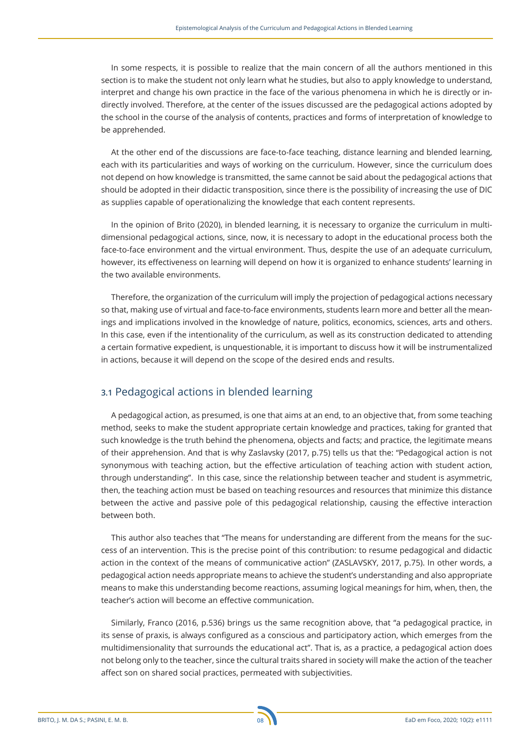In some respects, it is possible to realize that the main concern of all the authors mentioned in this section is to make the student not only learn what he studies, but also to apply knowledge to understand, interpret and change his own practice in the face of the various phenomena in which he is directly or indirectly involved. Therefore, at the center of the issues discussed are the pedagogical actions adopted by the school in the course of the analysis of contents, practices and forms of interpretation of knowledge to be apprehended.

At the other end of the discussions are face-to-face teaching, distance learning and blended learning, each with its particularities and ways of working on the curriculum. However, since the curriculum does not depend on how knowledge is transmitted, the same cannot be said about the pedagogical actions that should be adopted in their didactic transposition, since there is the possibility of increasing the use of DIC as supplies capable of operationalizing the knowledge that each content represents.

In the opinion of Brito (2020), in blended learning, it is necessary to organize the curriculum in multidimensional pedagogical actions, since, now, it is necessary to adopt in the educational process both the face-to-face environment and the virtual environment. Thus, despite the use of an adequate curriculum, however, its effectiveness on learning will depend on how it is organized to enhance students' learning in the two available environments.

Therefore, the organization of the curriculum will imply the projection of pedagogical actions necessary so that, making use of virtual and face-to-face environments, students learn more and better all the meanings and implications involved in the knowledge of nature, politics, economics, sciences, arts and others. In this case, even if the intentionality of the curriculum, as well as its construction dedicated to attending a certain formative expedient, is unquestionable, it is important to discuss how it will be instrumentalized in actions, because it will depend on the scope of the desired ends and results.

### **3.1** Pedagogical actions in blended learning

A pedagogical action, as presumed, is one that aims at an end, to an objective that, from some teaching method, seeks to make the student appropriate certain knowledge and practices, taking for granted that such knowledge is the truth behind the phenomena, objects and facts; and practice, the legitimate means of their apprehension. And that is why Zaslavsky (2017, p.75) tells us that the: "Pedagogical action is not synonymous with teaching action, but the effective articulation of teaching action with student action, through understanding". In this case, since the relationship between teacher and student is asymmetric, then, the teaching action must be based on teaching resources and resources that minimize this distance between the active and passive pole of this pedagogical relationship, causing the effective interaction between both.

This author also teaches that "The means for understanding are different from the means for the success of an intervention. This is the precise point of this contribution: to resume pedagogical and didactic action in the context of the means of communicative action" (ZASLAVSKY, 2017, p.75). In other words, a pedagogical action needs appropriate means to achieve the student's understanding and also appropriate means to make this understanding become reactions, assuming logical meanings for him, when, then, the teacher's action will become an effective communication.

Similarly, Franco (2016, p.536) brings us the same recognition above, that "a pedagogical practice, in its sense of praxis, is always configured as a conscious and participatory action, which emerges from the multidimensionality that surrounds the educational act". That is, as a practice, a pedagogical action does not belong only to the teacher, since the cultural traits shared in society will make the action of the teacher affect son on shared social practices, permeated with subjectivities.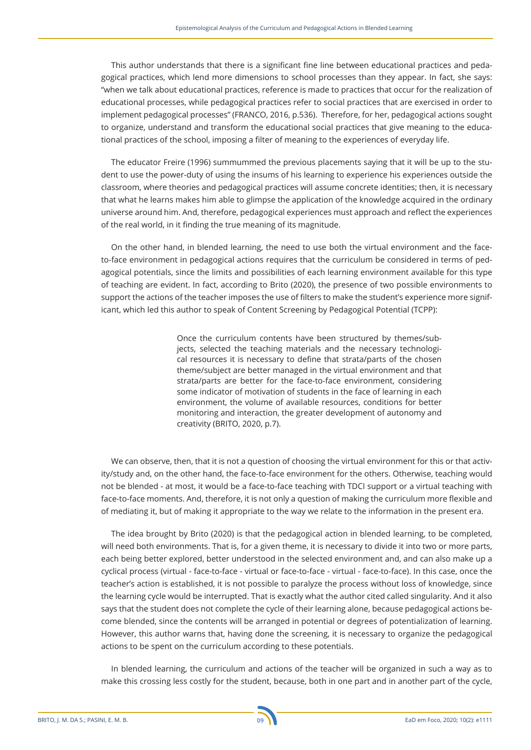This author understands that there is a significant fine line between educational practices and pedagogical practices, which lend more dimensions to school processes than they appear. In fact, she says: "when we talk about educational practices, reference is made to practices that occur for the realization of educational processes, while pedagogical practices refer to social practices that are exercised in order to implement pedagogical processes" (FRANCO, 2016, p.536). Therefore, for her, pedagogical actions sought to organize, understand and transform the educational social practices that give meaning to the educational practices of the school, imposing a filter of meaning to the experiences of everyday life.

The educator Freire (1996) summummed the previous placements saying that it will be up to the student to use the power-duty of using the insums of his learning to experience his experiences outside the classroom, where theories and pedagogical practices will assume concrete identities; then, it is necessary that what he learns makes him able to glimpse the application of the knowledge acquired in the ordinary universe around him. And, therefore, pedagogical experiences must approach and reflect the experiences of the real world, in it finding the true meaning of its magnitude.

On the other hand, in blended learning, the need to use both the virtual environment and the faceto-face environment in pedagogical actions requires that the curriculum be considered in terms of pedagogical potentials, since the limits and possibilities of each learning environment available for this type of teaching are evident. In fact, according to Brito (2020), the presence of two possible environments to support the actions of the teacher imposes the use of filters to make the student's experience more significant, which led this author to speak of Content Screening by Pedagogical Potential (TCPP):

> Once the curriculum contents have been structured by themes/subjects, selected the teaching materials and the necessary technological resources it is necessary to define that strata/parts of the chosen theme/subject are better managed in the virtual environment and that strata/parts are better for the face-to-face environment, considering some indicator of motivation of students in the face of learning in each environment, the volume of available resources, conditions for better monitoring and interaction, the greater development of autonomy and creativity (BRITO, 2020, p.7).

We can observe, then, that it is not a question of choosing the virtual environment for this or that activity/study and, on the other hand, the face-to-face environment for the others. Otherwise, teaching would not be blended - at most, it would be a face-to-face teaching with TDCI support or a virtual teaching with face-to-face moments. And, therefore, it is not only a question of making the curriculum more flexible and of mediating it, but of making it appropriate to the way we relate to the information in the present era.

The idea brought by Brito (2020) is that the pedagogical action in blended learning, to be completed, will need both environments. That is, for a given theme, it is necessary to divide it into two or more parts, each being better explored, better understood in the selected environment and, and can also make up a cyclical process (virtual - face-to-face - virtual or face-to-face - virtual - face-to-face). In this case, once the teacher's action is established, it is not possible to paralyze the process without loss of knowledge, since the learning cycle would be interrupted. That is exactly what the author cited called singularity. And it also says that the student does not complete the cycle of their learning alone, because pedagogical actions become blended, since the contents will be arranged in potential or degrees of potentialization of learning. However, this author warns that, having done the screening, it is necessary to organize the pedagogical actions to be spent on the curriculum according to these potentials.

In blended learning, the curriculum and actions of the teacher will be organized in such a way as to make this crossing less costly for the student, because, both in one part and in another part of the cycle,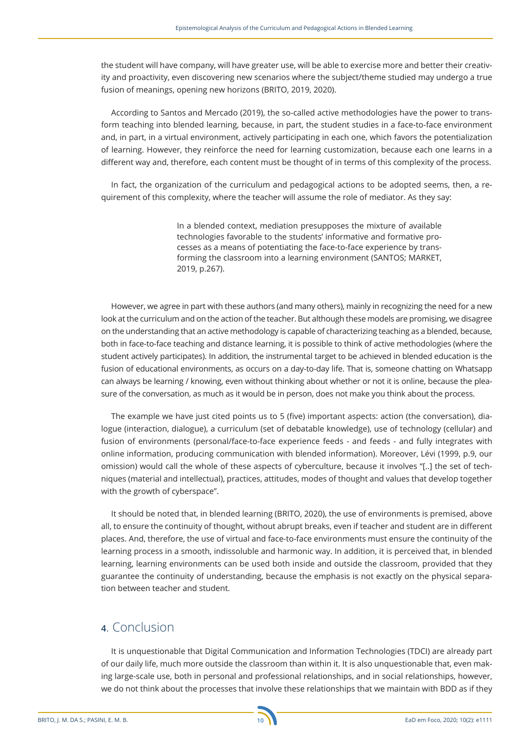the student will have company, will have greater use, will be able to exercise more and better their creativity and proactivity, even discovering new scenarios where the subject/theme studied may undergo a true fusion of meanings, opening new horizons (BRITO, 2019, 2020).

According to Santos and Mercado (2019), the so-called active methodologies have the power to transform teaching into blended learning, because, in part, the student studies in a face-to-face environment and, in part, in a virtual environment, actively participating in each one, which favors the potentialization of learning. However, they reinforce the need for learning customization, because each one learns in a different way and, therefore, each content must be thought of in terms of this complexity of the process.

In fact, the organization of the curriculum and pedagogical actions to be adopted seems, then, a requirement of this complexity, where the teacher will assume the role of mediator. As they say:

> In a blended context, mediation presupposes the mixture of available technologies favorable to the students' informative and formative processes as a means of potentiating the face-to-face experience by transforming the classroom into a learning environment (SANTOS; MARKET, 2019, p.267).

However, we agree in part with these authors (and many others), mainly in recognizing the need for a new look at the curriculum and on the action of the teacher. But although these models are promising, we disagree on the understanding that an active methodology is capable of characterizing teaching as a blended, because, both in face-to-face teaching and distance learning, it is possible to think of active methodologies (where the student actively participates). In addition, the instrumental target to be achieved in blended education is the fusion of educational environments, as occurs on a day-to-day life. That is, someone chatting on Whatsapp can always be learning / knowing, even without thinking about whether or not it is online, because the pleasure of the conversation, as much as it would be in person, does not make you think about the process.

The example we have just cited points us to 5 (five) important aspects: action (the conversation), dialogue (interaction, dialogue), a curriculum (set of debatable knowledge), use of technology (cellular) and fusion of environments (personal/face-to-face experience feeds - and feeds - and fully integrates with online information, producing communication with blended information). Moreover, Lévi (1999, p.9, our omission) would call the whole of these aspects of cyberculture, because it involves "[..] the set of techniques (material and intellectual), practices, attitudes, modes of thought and values that develop together with the growth of cyberspace".

It should be noted that, in blended learning (BRITO, 2020), the use of environments is premised, above all, to ensure the continuity of thought, without abrupt breaks, even if teacher and student are in different places. And, therefore, the use of virtual and face-to-face environments must ensure the continuity of the learning process in a smooth, indissoluble and harmonic way. In addition, it is perceived that, in blended learning, learning environments can be used both inside and outside the classroom, provided that they guarantee the continuity of understanding, because the emphasis is not exactly on the physical separation between teacher and student.

## **4**. Conclusion

It is unquestionable that Digital Communication and Information Technologies (TDCI) are already part of our daily life, much more outside the classroom than within it. It is also unquestionable that, even making large-scale use, both in personal and professional relationships, and in social relationships, however, we do not think about the processes that involve these relationships that we maintain with BDD as if they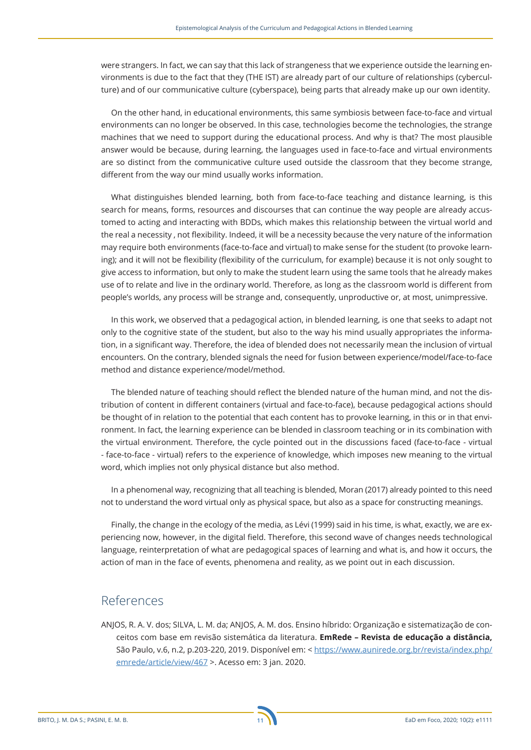were strangers. In fact, we can say that this lack of strangeness that we experience outside the learning environments is due to the fact that they (THE IST) are already part of our culture of relationships (cyberculture) and of our communicative culture (cyberspace), being parts that already make up our own identity.

On the other hand, in educational environments, this same symbiosis between face-to-face and virtual environments can no longer be observed. In this case, technologies become the technologies, the strange machines that we need to support during the educational process. And why is that? The most plausible answer would be because, during learning, the languages used in face-to-face and virtual environments are so distinct from the communicative culture used outside the classroom that they become strange, different from the way our mind usually works information.

What distinguishes blended learning, both from face-to-face teaching and distance learning, is this search for means, forms, resources and discourses that can continue the way people are already accustomed to acting and interacting with BDDs, which makes this relationship between the virtual world and the real a necessity , not flexibility. Indeed, it will be a necessity because the very nature of the information may require both environments (face-to-face and virtual) to make sense for the student (to provoke learning); and it will not be flexibility (flexibility of the curriculum, for example) because it is not only sought to give access to information, but only to make the student learn using the same tools that he already makes use of to relate and live in the ordinary world. Therefore, as long as the classroom world is different from people's worlds, any process will be strange and, consequently, unproductive or, at most, unimpressive.

In this work, we observed that a pedagogical action, in blended learning, is one that seeks to adapt not only to the cognitive state of the student, but also to the way his mind usually appropriates the information, in a significant way. Therefore, the idea of blended does not necessarily mean the inclusion of virtual encounters. On the contrary, blended signals the need for fusion between experience/model/face-to-face method and distance experience/model/method.

The blended nature of teaching should reflect the blended nature of the human mind, and not the distribution of content in different containers (virtual and face-to-face), because pedagogical actions should be thought of in relation to the potential that each content has to provoke learning, in this or in that environment. In fact, the learning experience can be blended in classroom teaching or in its combination with the virtual environment. Therefore, the cycle pointed out in the discussions faced (face-to-face - virtual - face-to-face - virtual) refers to the experience of knowledge, which imposes new meaning to the virtual word, which implies not only physical distance but also method.

In a phenomenal way, recognizing that all teaching is blended, Moran (2017) already pointed to this need not to understand the word virtual only as physical space, but also as a space for constructing meanings.

Finally, the change in the ecology of the media, as Lévi (1999) said in his time, is what, exactly, we are experiencing now, however, in the digital field. Therefore, this second wave of changes needs technological language, reinterpretation of what are pedagogical spaces of learning and what is, and how it occurs, the action of man in the face of events, phenomena and reality, as we point out in each discussion.

### References

ANJOS, R. A. V. dos; SILVA, L. M. da; ANJOS, A. M. dos. Ensino híbrido: Organização e sistematização de conceitos com base em revisão sistemática da literatura. **EmRede – Revista de educação a distância,** São Paulo, v.6, n.2, p.203-220, 2019. Disponível em: < https://www.aunirede.org.br/revista/index.php/ emrede/article/view/467 >. Acesso em: 3 jan. 2020.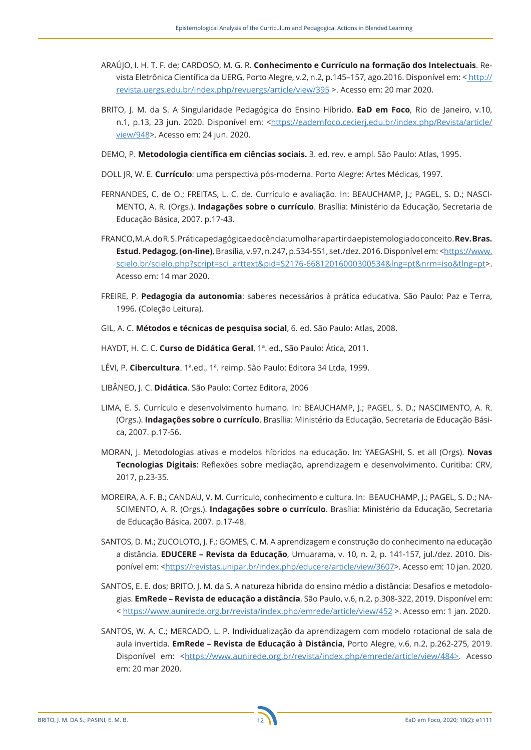- ARAÚJO, I. H. T. F. de; CARDOSO, M. G. R. **Conhecimento e Currículo na formação dos Intelectuais**. Revista Eletrônica Científica da UERG, Porto Alegre, v.2, n.2, p.145–157, ago.2016. Disponível em: < http:// revista.uergs.edu.br/index.php/revuergs/article/view/395 >. Acesso em: 20 mar 2020.
- BRITO, J. M. da S. A Singularidade Pedagógica do Ensino Híbrido. **EaD em Foco**, Rio de Janeiro, v.10, n.1, p.13, 23 jun. 2020. Disponível em: <https://eademfoco.cecieri.edu.br/index.php/Revista/article/ view/948>. Acesso em: 24 jun. 2020.
- DEMO, P. **Metodologia científica em ciências sociais.** 3. ed. rev. e ampl. São Paulo: Atlas, 1995.
- DOLL JR, W. E. **Currículo**: uma perspectiva pós-moderna. Porto Alegre: Artes Médicas, 1997.
- FERNANDES, C. de O.; FREITAS, L. C. de. Currículo e avaliação. In: BEAUCHAMP, J.; PAGEL, S. D.; NASCI-MENTO, A. R. (Orgs.). **Indagações sobre o currículo**. Brasília: Ministério da Educação, Secretaria de Educação Básica, 2007. p.17-43.
- FRANCO, M. A. do R. S. Prática pedagógica e docência: um olhar a partir da epistemologia do conceito. **Rev. Bras. Estud. Pedagog. (on-line)**, Brasília, v.97, n.247, p.534-551, set./dez. 2016. Disponível em: <https://www. scielo.br/scielo.php?script=sci\_arttext&pid=S2176-66812016000300534&lng=pt&nrm=iso&tlng=pt>. Acesso em: 14 mar 2020.
- FREIRE, P. **Pedagogia da autonomia**: saberes necessários à prática educativa. São Paulo: Paz e Terra, 1996. (Coleção Leitura).
- GIL, A. C. **Métodos e técnicas de pesquisa social**, 6. ed. São Paulo: Atlas, 2008.
- HAYDT, H. C. C. **Curso de Didática Geral**, 1ª. ed., São Paulo: Ática, 2011.
- LÉVI, P. **Cibercultura**. 1ª.ed., 1ª. reimp. São Paulo: Editora 34 Ltda, 1999.
- LIBÂNEO, J. C. **Didática**. São Paulo: Cortez Editora, 2006
- LIMA, E. S. Currículo e desenvolvimento humano. In: BEAUCHAMP, J.; PAGEL, S. D.; NASCIMENTO, A. R. (Orgs.). **Indagações sobre o currículo**. Brasília: Ministério da Educação, Secretaria de Educação Básica, 2007. p.17-56.
- MORAN, J. Metodologias ativas e modelos híbridos na educação. In: YAEGASHI, S. et all (Orgs). **Novas Tecnologias Digitais**: Reflexões sobre mediação, aprendizagem e desenvolvimento. Curitiba: CRV, 2017, p.23-35.
- MOREIRA, A. F. B.; CANDAU, V. M. Currículo, conhecimento e cultura. In: BEAUCHAMP, J.; PAGEL, S. D.; NA-SCIMENTO, A. R. (Orgs.). **Indagações sobre o currículo**. Brasília: Ministério da Educação, Secretaria de Educação Básica, 2007. p.17-48.
- SANTOS, D. M.; ZUCOLOTO, J. F.; GOMES, C. M. A aprendizagem e construção do conhecimento na educação a distância. **EDUCERE – Revista da Educação**, Umuarama, v. 10, n. 2, p. 141-157, jul./dez. 2010. Disponível em: <https://revistas.unipar.br/index.php/educere/article/view/3607>. Acesso em: 10 jan. 2020.
- SANTOS, E. E. dos; BRITO, J. M. da S. A natureza híbrida do ensino médio a distância: Desafios e metodologias. **EmRede – Revista de educação a distância**, São Paulo, v.6, n.2, p.308-322, 2019. Disponível em: < https://www.aunirede.org.br/revista/index.php/emrede/article/view/452 >. Acesso em: 1 jan. 2020.
- SANTOS, W. A. C.; MERCADO, L. P. Individualização da aprendizagem com modelo rotacional de sala de aula invertida. **EmRede – Revista de Educação à Distância**, Porto Alegre, v.6, n.2, p.262-275, 2019. Disponível em: <https://www.aunirede.org.br/revista/index.php/emrede/article/view/484>. Acesso em: 20 mar 2020.